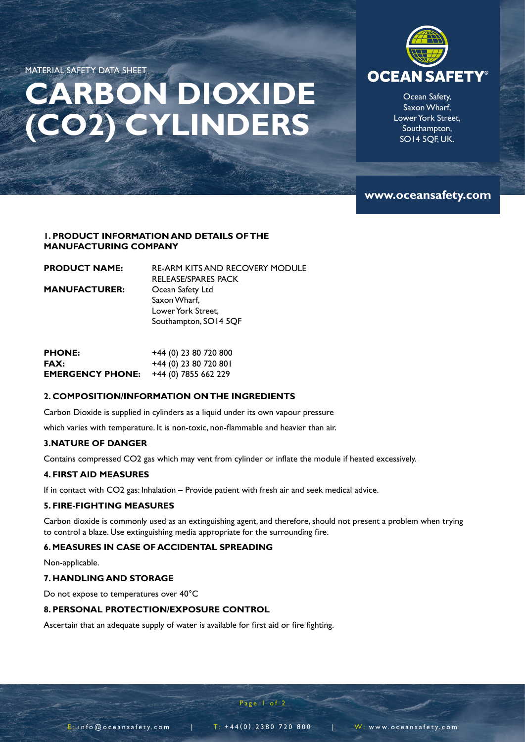MATERIAL SAFETY DATA SHEET

# **CARBON DIOXIDE (CO2) CYLINDERS**



Ocean Safety, Saxon Wharf, Lower York Street, Southampton, SO14 5QF, UK.

# **www.oceansafety.com**

## **1. PRODUCT INFORMATION AND DETAILS OF THE MANUFACTURING COMPANY**

| <b>RE-ARM KITS AND RECOVERY MODULE</b> |
|----------------------------------------|
| RELEASE/SPARES PACK                    |
| Ocean Safety Ltd                       |
| Saxon Wharf.                           |
| Lower York Street.                     |
| Southampton, SO14 5QF                  |
|                                        |

| <b>PHONE:</b>           | +44 (0) 23 80 720 800   |
|-------------------------|-------------------------|
| FAX:                    | $+44$ (0) 23 80 720 801 |
| <b>EMERGENCY PHONE:</b> | +44 (0) 7855 662 229    |

# **2. COMPOSITION/INFORMATION ON THE INGREDIENTS**

Carbon Dioxide is supplied in cylinders as a liquid under its own vapour pressure

which varies with temperature. It is non-toxic, non-flammable and heavier than air.

## **3.NATURE OF DANGER**

Contains compressed CO2 gas which may vent from cylinder or inflate the module if heated excessively.

### **4. FIRST AID MEASURES**

If in contact with CO2 gas: Inhalation – Provide patient with fresh air and seek medical advice.

# **5. FIRE-FIGHTING MEASURES**

Carbon dioxide is commonly used as an extinguishing agent, and therefore, should not present a problem when trying to control a blaze. Use extinguishing media appropriate for the surrounding fire.

# **6. MEASURES IN CASE OF ACCIDENTAL SPREADING**

Non-applicable.

### **7. HANDLING AND STORAGE**

Do not expose to temperatures over 40°C

# **8. PERSONAL PROTECTION/EXPOSURE CONTROL**

Ascertain that an adequate supply of water is available for first aid or fire fighting.

E  $:$  info@oceansafety.com | T: +44(0) 2380 720 800 | W: www.oceansafety.com

Page 1 of 2